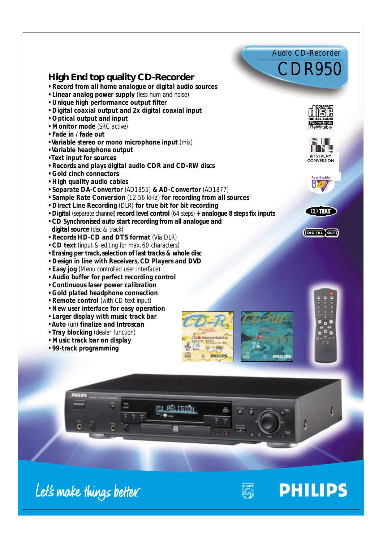Let's make things better.

## **High End top quality CD-Recorder High End quality CD-Recorder**

- *Record from all home analogue or digital audio sources Record from all home analogue or digital audio sources*
- *• Linear analog power supply (less hum and noise) Linear analog power supply (less hum and noise)*
- *• Unique high performance output filter*
- *Digital coaxial output and 2x digital coaxial input Unique high Digital coaxial output and 2x digital coaxial input*
- *• Optical output and input*
- *Monitor mode (SRC active) Optical output and input• Monitor mode (SRC active)*
- *Fade in / fade out Fade in / fade out*
- *Variable stereo or mono microphone input (mix)*
- *Variable headphone output Variable headphone output• Text input for sources*
- *Text input for sources*
- *Records and plays digital audio CDR and CD-RW discs plays digital and CD-RW*
- *Gold cinch connectors Gold cinch connectors*
- *High quality audio cables High quality audio cables*
- *Separate DA-Convertor (AD1855) & AD-Convertor (AD1877) Separate DA-Convertor (AD1855)*
- *Sample Rate Conversion (12-56 kHz) for recording from all sources*
- Sample Rate Conversion (12-56 kHz) for recording from all sources<br>• Direct Line Recording (DLR) for true bit for bit recording
- *• Digital (separate channel) record level control (64 steps) + analogue 8 steps fix inputs*
- *• CD Synchronised auto start recording from all analogue and digital source (disc & track)* • Digital (separate channel) record level control (64 steps) + analogue 8 steps fix inputs<br>• CD Synchronised auto start recording from all analogue and<br>digital source (disc & track) **Music The Controllation of the Controllation**<br> *Music track and power supply (ses hum and noise)*<br> *Linear analog power supply (ses hum and noise)*<br> *Digita coaxial output and input*<br> *Optical output and input*<br> *Optical*
- *Records HD-CD and DTS format (Via DLR) DTS format (Via DLR)*
- *CD text (input & editing for max. 60 characters) CD text (input & editing for max. 60 characters)*
- *Erasing per track, selection of last tracks & whole disc Erasing per track, selection of last tracks & whole disc*
- *• Design in line with Receivers, CD Players and DVD • Easy jog (Menu controlled user interface) • Design in line with Receivers, CD Players and DVD• Easy jog (Menu controlled user interface)*
- 
- $\cdot$  Audio buffer for perfect recording control
- *Continuous laser power calibration Continuous laser power calibration*
- *Gold plated headphone connection Gold plated headphone connection*
- *Remote control (with CD text input)*
- *• New user interface for easy operation New user interface for easy operation*
- *• Larger display with music track bar Larger display with music track bar*
- *Auto (un) finalize and Introscan*
- *• Tray blocking (dealer function) Auto (un) finalize and Introscan• Tray blocking (dealer function)*
- *Music track bar on display*
- *99-track programming*



<u>RËLIGIÖN</u>





Audio CD-Recorder